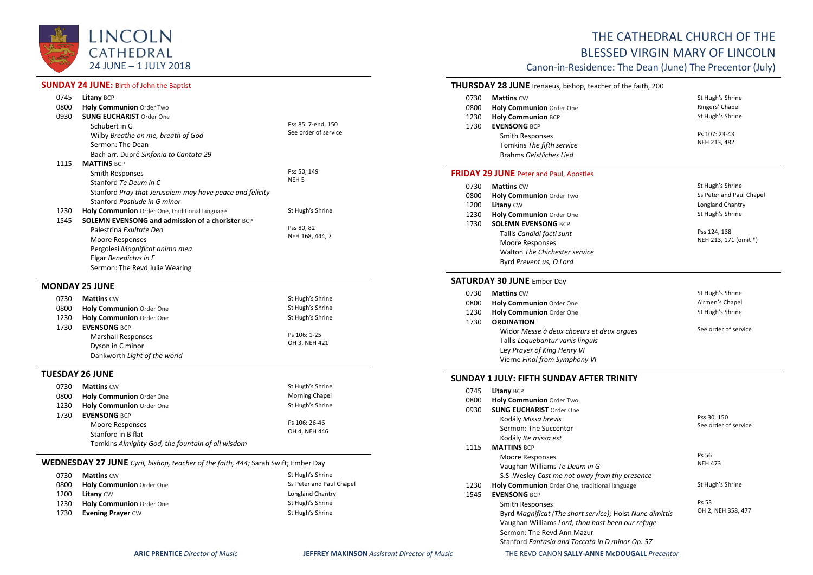

#### **SUNDAY 24 JUNE: Birth of John the Baptist**

| 0745 | <b>Litany BCP</b>                                        |                      |
|------|----------------------------------------------------------|----------------------|
| 0800 | <b>Holy Communion Order Two</b>                          |                      |
| 0930 | <b>SUNG EUCHARIST Order One</b>                          |                      |
|      | Schubert in G                                            | Pss 85: 7-end, 150   |
|      | Wilby Breathe on me, breath of God                       | See order of service |
|      | Sermon: The Dean                                         |                      |
|      | Bach arr. Dupré Sinfonia to Cantata 29                   |                      |
| 1115 | <b>MATTINS BCP</b>                                       |                      |
|      | Smith Responses                                          | Pss 50, 149          |
|      | Stanford Te Deum in C                                    | NEH <sub>5</sub>     |
|      | Stanford Pray that Jerusalem may have peace and felicity |                      |
|      | Stanford Postlude in G minor                             |                      |
| 1230 | Holy Communion Order One, traditional language           | St Hugh's Shrine     |
| 1545 | <b>SOLEMN EVENSONG and admission of a chorister BCP</b>  |                      |
|      | Palestrina Exultate Deo                                  | Pss 80, 82           |
|      | Moore Responses                                          | NEH 168, 444, 7      |
|      | Pergolesi Magnificat anima mea                           |                      |
|      | Elgar Benedictus in F                                    |                      |
|      | Sermon: The Revd Julie Wearing                           |                      |

#### **MONDAY 25 JUNE**

| 0730 | <b>Mattins CW</b>            | St Hugh's Shrine |
|------|------------------------------|------------------|
| 0800 | Holy Communion Order One     | St Hugh's Shrine |
| 1230 | Holy Communion Order One     | St Hugh's Shrine |
| 1730 | <b>EVENSONG BCP</b>          |                  |
|      | <b>Marshall Responses</b>    | Ps 106: 1-25     |
|      | Dyson in C minor             | OH 3, NEH 421    |
|      | Dankworth Light of the world |                  |

## **TUESDAY 26 JUNE**

| 0730 | <b>Mattins CW</b>                                | St Hugh's Shrine |
|------|--------------------------------------------------|------------------|
| 0800 | Holy Communion Order One                         | Morning Chapel   |
| 1230 | Holy Communion Order One                         | St Hugh's Shrine |
| 1730 | <b>EVENSONG BCP</b>                              |                  |
|      | Moore Responses                                  | Ps 106: 26-46    |
|      | Stanford in B flat                               | OH 4, NEH 446    |
|      | Tomkins Almighty God, the fountain of all wisdom |                  |

#### **WEDNESDAY 27 JUNE** *Cyril, bishop, teacher of the faith, 444;* Sarah Swift; Ember Day

| 0730 | <b>Mattins CW</b>        | St Hugh's Shrine         |
|------|--------------------------|--------------------------|
| 0800 | Holy Communion Order One | Ss Peter and Paul Chapel |
| 1200 | <b>Litany CW</b>         | Longland Chantry         |
| 1230 | Holy Communion Order One | St Hugh's Shrine         |
| 1730 | <b>Evening Prayer CW</b> | St Hugh's Shrine         |

# THE CATHEDRAL CHURCH OF THE

# BLESSED VIRGIN MARY OF LINCOLN

Canon-in-Residence: The Dean (June) The Precentor (July)

# **THURSDAY 28 JUNE** Irenaeus, bishop, teacher of the faith, 200

| 0730<br>0800 | <b>Mattins CW</b><br>Holy Communion Order One                                                  | St Hugh's Shrine<br>Ringers' Chapel |
|--------------|------------------------------------------------------------------------------------------------|-------------------------------------|
| 1230         | <b>Holy Communion BCP</b>                                                                      | St Hugh's Shrine                    |
| 1730         | <b>EVENSONG BCP</b><br>Smith Responses<br>Tomkins The fifth service<br>Brahms Geistliches Lied | Ps 107: 23-43<br>NEH 213, 482       |
|              | <b>FRIDAY 29 JUNE</b> Peter and Paul, Apostles                                                 |                                     |
| 0730         | <b>Mattins CW</b>                                                                              | St Hugh's Shrine                    |
| 0800         | <b>Holy Communion Order Two</b>                                                                | Ss Peter and Paul Chapel            |
| 1200         | <b>Litany CW</b>                                                                               | Longland Chantry                    |

| 1230 | Holy Communion Order One                     | St Hugh's Shrine                      |
|------|----------------------------------------------|---------------------------------------|
| 1730 | <b>SOLEMN EVENSONG BCP</b>                   |                                       |
|      | Tallis Candidi facti sunt<br>Moore Responses | Pss 124, 138<br>NEH 213, 171 (omit *) |
|      | Walton The Chichester service                |                                       |
|      | Byrd Prevent us, O Lord                      |                                       |

### **SATURDAY 30 JUNE** Ember Day

| 0730 | <b>Mattins CW</b>                         | St Hugh's Shrine     |
|------|-------------------------------------------|----------------------|
| 0800 | Holy Communion Order One                  | Airmen's Chapel      |
| 1230 | Holy Communion Order One                  | St Hugh's Shrine     |
| 1730 | <b>ORDINATION</b>                         |                      |
|      | Widor Messe à deux choeurs et deux orgues | See order of service |
|      | Tallis Loquebantur variis linguis         |                      |
|      | Ley Prayer of King Henry VI               |                      |
|      | Vierne Final from Symphony VI             |                      |

#### **SUNDAY 1 JULY: FIFTH SUNDAY AFTER TRINITY**

| 0745 | Litany BCP                                               |                      |
|------|----------------------------------------------------------|----------------------|
| 0800 | <b>Holy Communion Order Two</b>                          |                      |
| 0930 | <b>SUNG EUCHARIST Order One</b>                          |                      |
|      | Kodály Missa brevis                                      | Pss 30, 150          |
|      | Sermon: The Succentor                                    | See order of service |
|      | Kodály Ite missa est                                     |                      |
| 1115 | <b>MATTINS BCP</b>                                       |                      |
|      | Moore Responses                                          | Ps 56                |
|      | Vaughan Williams Te Deum in G                            | <b>NEH 473</b>       |
|      | S.S. Wesley Cast me not away from thy presence           |                      |
| 1230 | Holy Communion Order One, traditional language           | St Hugh's Shrine     |
| 1545 | <b>EVENSONG BCP</b>                                      |                      |
|      | Smith Responses                                          | Ps 53                |
|      | Byrd Magnificat (The short service); Holst Nunc dimittis | OH 2, NEH 358, 477   |
|      | Vaughan Williams Lord, thou hast been our refuge         |                      |
|      | Sermon: The Revd Ann Mazur                               |                      |
|      | Stanford Fantasia and Toccata in D minor Op. 57          |                      |
|      |                                                          |                      |